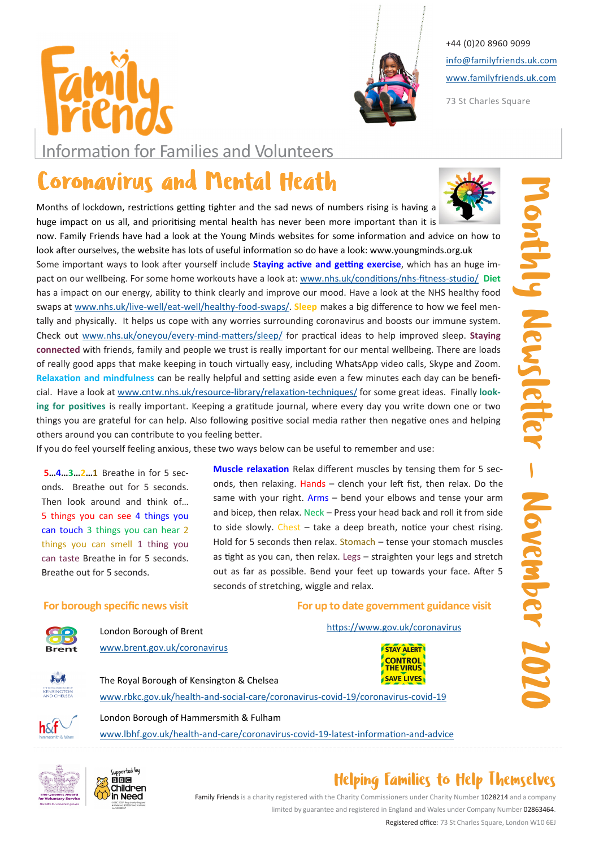



+44 (0)20 8960 9099 info@familyfriends.uk.com www.familyfriends.uk.com

73 St Charles Square

Information for Families and Volunteers

# Coronavirus and Mental Heath

Months of lockdown, restrictions getting tighter and the sad news of numbers rising is having a huge impact on us all, and prioritising mental health has never been more important than it is now. Family Friends have had a look at the Young Minds websites for some information and advice on how to look after ourselves, the website has lots of useful information so do have a look: www.youngminds.org.uk

**COYOHABY FUIS AND MINIMATION IS AND MINIMATE CALL TO CONSULTER THE VALUE AND ARROW AND ARROW IN A CONSULTER CONSULTER THE VALUE AND CONSULTER THE VEHICLE THE VALUE AND CONSULTER THE VEHICLE THAN THE VEHICLE THAN THE VEHI** Some important ways to look after yourself include Staying active and getting exercise, which has an huge impact on our wellbeing. For some home workouts have a look at: www.nhs.uk/conditions/nhs-fitness-studio/ Diet has a impact on our energy, ability to think clearly and improve our mood. Have a look at the NHS healthy food swaps at www.nhs.uk/live-well/eat-well/healthy-food-swaps/. Sleep makes a big difference to how we feel mentally and physically. It helps us cope with any worries surrounding coronavirus and boosts our immune system. Check out www.nhs.uk/oneyou/every-mind-matters/sleep/ for practical ideas to help improved sleep. Staying connected with friends, family and people we trust is really important for our mental wellbeing. There are loads of really good apps that make keeping in touch virtually easy, including WhatsApp video calls, Skype and Zoom. Relaxation and mindfulness can be really helpful and setting aside even a few minutes each day can be beneficial. Have a look at www.cntw.nhs.uk/resource-library/relaxation-techniques/ for some great ideas. Finally looking for positives is really important. Keeping a gratitude journal, where every day you write down one or two things you are grateful for can help. Also following positive social media rather then negative ones and helping others around you can contribute to you feeling better.

If you do feel yourself feeling anxious, these two ways below can be useful to remember and use:

5…4…3…2…1 Breathe in for 5 seconds. Breathe out for 5 seconds. Then look around and think of… 5 things you can see 4 things you can touch 3 things you can hear 2 things you can smell 1 thing you can taste Breathe in for 5 seconds. Breathe out for 5 seconds.

Muscle relaxation Relax different muscles by tensing them for 5 seconds, then relaxing. Hands - clench your left fist, then relax. Do the same with your right. Arms - bend your elbows and tense your arm and bicep, then relax. Neck – Press your head back and roll it from side to side slowly. Chest  $-$  take a deep breath, notice your chest rising. Hold for 5 seconds then relax. Stomach – tense your stomach muscles as tight as you can, then relax. Legs – straighten your legs and stretch out as far as possible. Bend your feet up towards your face. After 5 seconds of stretching, wiggle and relax.

## For borough specific news visit



London Borough of Brent www.brent.gov.uk/coronavirus

## The Royal Borough of Kensington & Chelsea

www.rbkc.gov.uk/health-and-social-care/coronavirus-covid-19/coronavirus-covid-19



London Borough of Hammersmith & Fulham

www.lbhf.gov.uk/health-and-care/coronavirus-covid-19-latest-information-and-advice





## Helping Families to Help Themselves

Family Friends is a charity registered with the Charity Commissioners under Charity Number 1028214 and a company limited by guarantee and registered in England and Wales under Company Number 02863464.

Registered office: 73 St Charles Square, London W10 6EJ